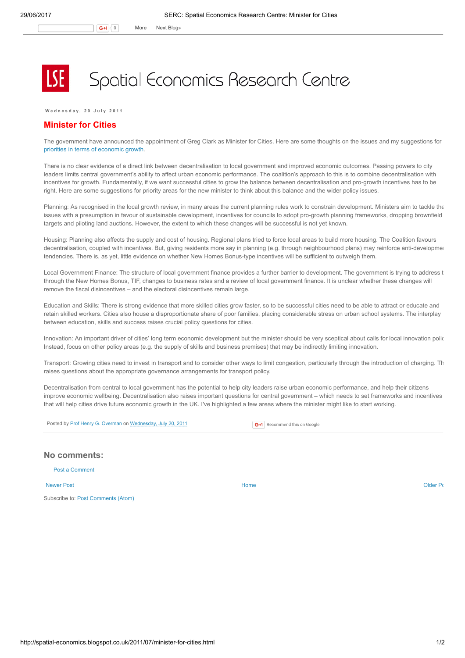## Spatial Economics Research Centre

Wednesday, 20 July 2011

## Minister for Cities

The government have announced the appointment of Greg Clark as Minister for Cities. Here are some thoughts on the issues and my suggestions for priorities in terms of [economic](http://www.spatialeconomics.ac.uk/textonly/serc/publications/download/sercpp007.pdf) growth.

There is no clear evidence of a direct link between decentralisation to local government and improved economic outcomes. Passing powers to city leaders limits central government's ability to affect urban economic performance. The coalition's approach to this is to combine decentralisation with incentives for growth. Fundamentally, if we want successful cities to grow the balance between decentralisation and pro-growth incentives has to be right. Here are some suggestions for priority areas for the new minister to think about this balance and the wider policy issues.

Planning: As recognised in the local growth review, in many areas the current planning rules work to constrain development. Ministers aim to tackle the issues with a presumption in favour of sustainable development, incentives for councils to adopt pro-growth planning frameworks, dropping brownfield targets and piloting land auctions. However, the extent to which these changes will be successful is not yet known.

Housing: Planning also affects the supply and cost of housing. Regional plans tried to force local areas to build more housing. The Coalition favours decentralisation, coupled with incentives. But, giving residents more say in planning (e.g. through neighbourhood plans) may reinforce anti-development tendencies. There is, as yet, little evidence on whether New Homes Bonus-type incentives will be sufficient to outweigh them.

Local Government Finance: The structure of local government finance provides a further barrier to development. The government is trying to address t through the New Homes Bonus, TIF, changes to business rates and a review of local government finance. It is unclear whether these changes will remove the fiscal disincentives – and the electoral disincentives remain large.

Education and Skills: There is strong evidence that more skilled cities grow faster, so to be successful cities need to be able to attract or educate and retain skilled workers. Cities also house a disproportionate share of poor families, placing considerable stress on urban school systems. The interplay between education, skills and success raises crucial policy questions for cities.

Innovation: An important driver of cities' long term economic development but the minister should be very sceptical about calls for local innovation polic Instead, focus on other policy areas (e.g. the supply of skills and business premises) that may be indirectly limiting innovation.

Transport: Growing cities need to invest in transport and to consider other ways to limit congestion, particularly through the introduction of charging. Th raises questions about the appropriate governance arrangements for transport policy.

Decentralisation from central to local government has the potential to help city leaders raise urban economic performance, and help their citizens improve economic wellbeing. Decentralisation also raises important questions for central government – which needs to set frameworks and incentives that will help cities drive future economic growth in the UK. I've highlighted a few areas where the minister might like to start working.



## No comments:

Post a [Comment](https://www.blogger.com/comment.g?blogID=974562301377041914&postID=4630264311592674499)

[Newer](http://spatial-economics.blogspot.co.uk/2011/07/law-of-unintended-consequences-business.html) Post and the contract of the contract of the contract [Home](http://spatial-economics.blogspot.co.uk/) contract of the contract of the contract of the contract of the contract of the contract of the contract of the contract of the contract of the contract of t

Subscribe to: Post [Comments](http://spatial-economics.blogspot.com/feeds/4630264311592674499/comments/default) (Atom)